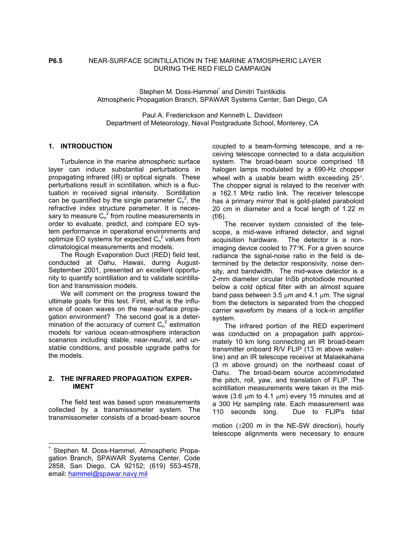# **P6.5** NEAR-SURFACE SCINTILLATION IN THE MARINE ATMOSPHERIC LAYER DURING THE RED FIELD CAMPAIGN

StephenM. Doss-Hammel<sup>\*</sup> and Dimitri Tsintikidis Atmospheric Propagation Branch, SPAWAR Systems Center, San Diego, CA

Paul A. Frederickson and Kenneth L. Davidson Department of Meteorology, Naval Postgraduate School, Monterey, CA

# **1. INTRODUCTION**

Turbulence in the marine atmospheric surface layer can induce substantial perturbations in propagating infrared (IR) or optical signals. These perturbations result in scintillation, which is a fluctuation in received signal intensity. Scintillation can be quantified by the single parameter  $C_n^2$ , the refractive index structure parameter. It is necessary to measure  $C_n^2$  from routine measurements in order to evaluate, predict, and compare EO system performance in operational environments and optimize EO systems for expected  $C_n^2$  values from climatological measurements and models.

The Rough Evaporation Duct (RED) field test, conducted at Oahu, Hawaii, during August-September 2001, presented an excellent opportunity to quantify scintillation and to validate scintillation and transmission models.

We will comment on the progress toward the ultimate goals for this test. First, what is the influence of ocean waves on the near-surface propagation environment? The second goal is a determination of the accuracy of current  $C_n^2$  estimation models for various ocean-atmosphere interaction scenarios including stable, near-neutral, and unstable conditions, and possible upgrade paths for the models.

#### **2. THE INFRARED PROPAGATION EXPER-IMENT**

The field test was based upon measurements collected by a transmissometer system. The transmissometer consists of a broad-beam source

-

coupled to a beam-forming telescope, and a receiving telescope connected to a data acquisition system. The broad-beam source comprised 18 halogen lamps modulated by a 690-Hz chopper wheel with a usable beam width exceeding 25°. The chopper signal is relayed to the receiver with a 162.1 MHz radio link. The receiver telescope has a primary mirror that is gold-plated paraboloid 20 cm in diameter and a focal length of 1.22 m (f/6).

The receiver system consisted of the telescope, a mid-wave infrared detector, and signal acquisition hardware. The detector is a nonimaging device cooled to 77°K. For a given source radiance the signal-noise ratio in the field is determined by the detector responsivity, noise density, and bandwidth. The mid-wave detector is a 2-mm diameter circular InSb photodiode mounted below a cold optical filter with an almost square band pass between 3.5  $\mu$ m and 4.1  $\mu$ m. The signal from the detectors is separated from the chopped carrier waveform by means of a lock-in amplifier system.

The infrared portion of the RED experiment was conducted on a propagation path approximately 10 km long connecting an IR broad-beam transmitter onboard R/V FLIP (13 m above waterline) and an IR telescope receiver at Malaekahana (3 m above ground) on the northeast coast of Oahu. The broad-beam source accommodated the pitch, roll, yaw, and translation of FLIP. The scintillation measurements were taken in the midwave (3.6  $\mu$ m to 4.1  $\mu$ m) every 15 minutes and at a 300 Hz sampling rate. Each measurement was 110 seconds long. Due to FLIP's tidal

motion (±200 m in the NE-SW direction), hourly telescope alignments were necessary to ensure

<span id="page-0-0"></span>Stephen M. Doss-Hammel, Atmospheric Propagation Branch, SPAWAR Systems Center, Code 2858, San Diego, CA 92152; (619) 553-4578, email: [hammel@spawar.navy.mil](mailto:hammel@spawar.navy.mil)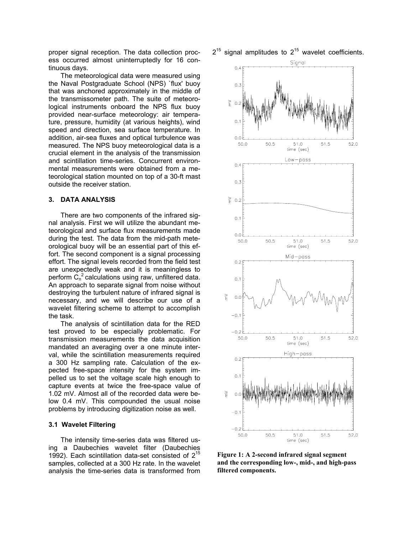proper signal reception. The data collection process occurred almost uninterruptedly for 16 continuous days.

The meteorological data were measured using the Naval Postgraduate School (NPS) `flux' buoy that was anchored approximately in the middle of the transmissometer path. The suite of meteorological instruments onboard the NPS flux buoy provided near-surface meteorology: air temperature, pressure, humidity (at various heights), wind speed and direction, sea surface temperature. In addition, air-sea fluxes and optical turbulence was measured. The NPS buoy meteorological data is a crucial element in the analysis of the transmission and scintillation time-series. Concurrent environmental measurements were obtained from a meteorological station mounted on top of a 30-ft mast outside the receiver station.

### **3. DATA ANALYSIS**

There are two components of the infrared signal analysis. First we will utilize the abundant meteorological and surface flux measurements made during the test. The data from the mid-path meteorological buoy will be an essential part of this effort. The second component is a signal processing effort. The signal levels recorded from the field test are unexpectedly weak and it is meaningless to perform  $\dot{C}_n^2$  calculations using raw, unfiltered data. An approach to separate signal from noise without destroying the turbulent nature of infrared signal is necessary, and we will describe our use of a wavelet filtering scheme to attempt to accomplish the task.

The analysis of scintillation data for the RED test proved to be especially problematic. For transmission measurements the data acquisition mandated an averaging over a one minute interval, while the scintillation measurements required a 300 Hz sampling rate. Calculation of the expected free-space intensity for the system impelled us to set the voltage scale high enough to capture events at twice the free-space value of 1.02 mV. Almost all of the recorded data were below 0.4 mV. This compounded the usual noise problems by introducing digitization noise as well.

## **3.1 Wavelet Filtering**

The intensity time-series data was filtered using a Daubechies wavelet filter (Daubechies 1992). Each scintillation data-set consisted of  $2^{15}$ samples, collected at a 300 Hz rate. In the wavelet analysis the time-series data is transformed from

 $2^{15}$  signal amplitudes to  $2^{15}$  wavelet coefficients.



**Figure 1: A 2-second infrared signal segment and the corresponding low-, mid-, and high-pass filtered components.**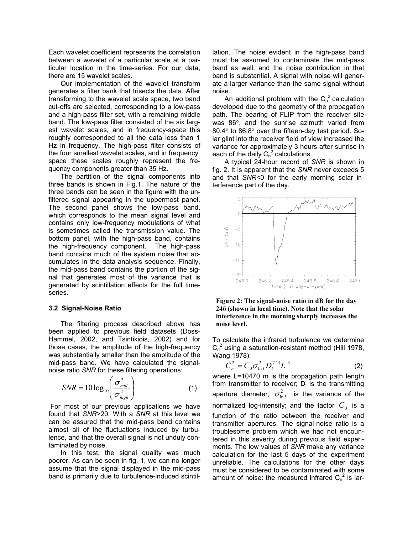Each wavelet coefficient represents the correlation between a wavelet of a particular scale at a particular location in the time-series. For our data, there are 15 wavelet scales.

Our implementation of the wavelet transform generates a filter bank that trisects the data. After transforming to the wavelet scale space, two band cut-offs are selected, corresponding to a low-pass and a high-pass filter set, with a remaining middle band. The low-pass filter consisted of the six largest wavelet scales, and in frequency-space this roughly corresponded to all the data less than 1 Hz in frequency. The high-pass filter consists of the four smallest wavelet scales, and in frequency space these scales roughly represent the frequency components greater than 35 Hz.

The partition of the signal components into three bands is shown in Fig.1. The nature of the three bands can be seen in the figure with the unfiltered signal appearing in the uppermost panel. The second panel shows the low-pass band, which corresponds to the mean signal level and contains only low-frequency modulations of what is sometimes called the transmission value. The bottom panel, with the high-pass band, contains the high-frequency component. The high-pass band contains much of the system noise that accumulates in the data-analysis sequence. Finally, the mid-pass band contains the portion of the signal that generates most of the variance that is generated by scintillation effects for the full timeseries.

#### **3.2 Signal-Noise Ratio**

The filtering process described above has been applied to previous field datasets (Doss-Hammel, 2002, and Tsintikidis, 2002) and for those cases, the amplitude of the high-frequency was substantially smaller than the amplitude of the mid-pass band. We have calculated the signalnoise ratio *SNR* for these filtering operations:

$$
SNR = 10 \log_{10} \left( \frac{\sigma_{mid}^2}{\sigma_{high}^2} \right)
$$
 (1)

For most of our previous applications we have found that *SNR*>20. With a *SNR* at this level we can be assured that the mid-pass band contains almost all of the fluctuations induced by turbulence, and that the overall signal is not unduly contaminated by noise.

In this test, the signal quality was much poorer. As can be seen in fig. 1, we can no longer assume that the signal displayed in the mid-pass band is primarily due to turbulence-induced scintillation. The noise evident in the high-pass band must be assumed to contaminate the mid-pass band as well, and the noise contribution in that band is substantial. A signal with noise will generate a larger variance than the same signal without noise.

An additional problem with the  $C_n^2$  calculation developed due to the geometry of the propagation path. The bearing of FLIP from the receiver site was 86°, and the sunrise azimuth varied from 80.4° to 86.8° over the fifteen-day test period. Solar glint into the receiver field of view increased the variance for approximately 3 hours after sunrise in each of the daily  $C_n^2$  calculations.

A typical 24-hour record of *SNR* is shown in fig. 2. It is apparent that the *SNR* never exceeds 5 and that *SNR*<0 for the early morning solar interference part of the day.



**Figure 2: The signal-noise ratio in dB for the day 246 (shown in local time). Note that the solar interference in the morning sharply increases the noise level.** 

To calculate the infrared turbulence we determine  $C_n^2$  using a saturation-resistant method (Hill 1978, Wang 1978):

$$
C_n^2 = C_0 \sigma_{\ln I}^2 D_t^{\frac{7}{3}} L^{-3}
$$
 (2)

where L=10470 m is the propagation path length from transmitter to receiver;  $D_t$  is the transmitting aperture diameter;  $\sigma_{\ln I}^2$  is the variance of the normalized log-intensity; and the factor  $C_0$  is a function of the ratio between the receiver and transmitter apertures. The signal-noise ratio is a troublesome problem which we had not encountered in this severity during previous field experiments. The low values of *SNR* make any variance calculation for the last 5 days of the experiment unreliable. The calculations for the other days must be considered to be contaminated with some amount of noise: the measured infrared  $C_n^2$  is lar